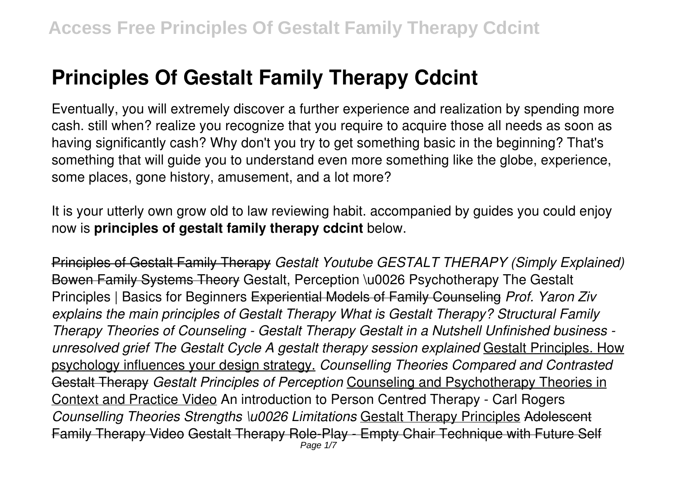# **Principles Of Gestalt Family Therapy Cdcint**

Eventually, you will extremely discover a further experience and realization by spending more cash. still when? realize you recognize that you require to acquire those all needs as soon as having significantly cash? Why don't you try to get something basic in the beginning? That's something that will guide you to understand even more something like the globe, experience, some places, gone history, amusement, and a lot more?

It is your utterly own grow old to law reviewing habit. accompanied by guides you could enjoy now is **principles of gestalt family therapy cdcint** below.

Principles of Gestalt Family Therapy *Gestalt Youtube GESTALT THERAPY (Simply Explained)* Bowen Family Systems Theory Gestalt, Perception \u0026 Psychotherapy The Gestalt Principles | Basics for Beginners Experiential Models of Family Counseling *Prof. Yaron Ziv explains the main principles of Gestalt Therapy What is Gestalt Therapy? Structural Family Therapy Theories of Counseling - Gestalt Therapy Gestalt in a Nutshell Unfinished business unresolved grief The Gestalt Cycle A gestalt therapy session explained* Gestalt Principles. How psychology influences your design strategy. *Counselling Theories Compared and Contrasted* Gestalt Therapy *Gestalt Principles of Perception* Counseling and Psychotherapy Theories in Context and Practice Video An introduction to Person Centred Therapy - Carl Rogers *Counselling Theories Strengths \u0026 Limitations* Gestalt Therapy Principles Adolescent Family Therapy Video Gestalt Therapy Role-Play - Empty Chair Technique with Future Self Page  $1/7$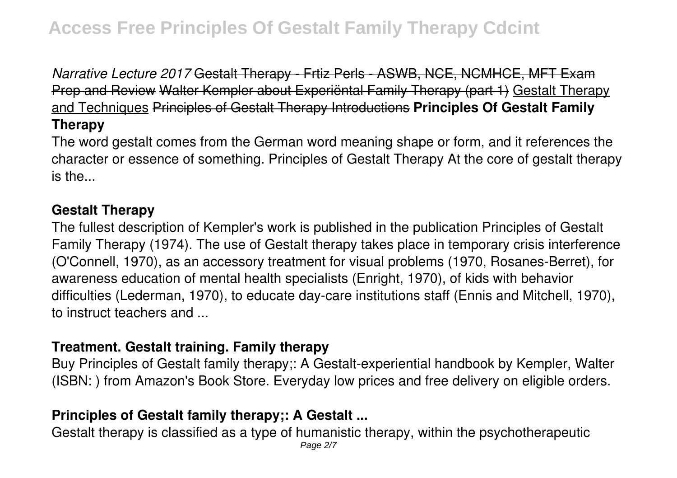*Narrative Lecture 2017* Gestalt Therapy - Frtiz Perls - ASWB, NCE, NCMHCE, MFT Exam Prep and Review Walter Kempler about Experiëntal Family Therapy (part 1) Gestalt Therapy and Techniques Principles of Gestalt Therapy Introductions **Principles Of Gestalt Family Therapy**

The word gestalt comes from the German word meaning shape or form, and it references the character or essence of something. Principles of Gestalt Therapy At the core of gestalt therapy is the...

#### **Gestalt Therapy**

The fullest description of Kempler's work is published in the publication Principles of Gestalt Family Therapy (1974). The use of Gestalt therapy takes place in temporary crisis interference (O'Connell, 1970), as an accessory treatment for visual problems (1970, Rosanes-Berret), for awareness education of mental health specialists (Enright, 1970), of kids with behavior difficulties (Lederman, 1970), to educate day-care institutions staff (Ennis and Mitchell, 1970), to instruct teachers and ...

#### **Treatment. Gestalt training. Family therapy**

Buy Principles of Gestalt family therapy;: A Gestalt-experiential handbook by Kempler, Walter (ISBN: ) from Amazon's Book Store. Everyday low prices and free delivery on eligible orders.

## **Principles of Gestalt family therapy;: A Gestalt ...**

Gestalt therapy is classified as a type of humanistic therapy, within the psychotherapeutic Page 2/7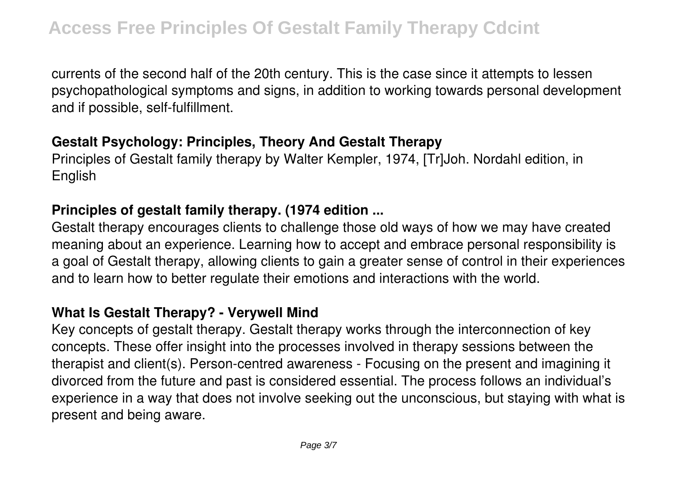currents of the second half of the 20th century. This is the case since it attempts to lessen psychopathological symptoms and signs, in addition to working towards personal development and if possible, self-fulfillment.

## **Gestalt Psychology: Principles, Theory And Gestalt Therapy**

Principles of Gestalt family therapy by Walter Kempler, 1974, [Tr]Joh. Nordahl edition, in English

#### **Principles of gestalt family therapy. (1974 edition ...**

Gestalt therapy encourages clients to challenge those old ways of how we may have created meaning about an experience. Learning how to accept and embrace personal responsibility is a goal of Gestalt therapy, allowing clients to gain a greater sense of control in their experiences and to learn how to better regulate their emotions and interactions with the world.

#### **What Is Gestalt Therapy? - Verywell Mind**

Key concepts of gestalt therapy. Gestalt therapy works through the interconnection of key concepts. These offer insight into the processes involved in therapy sessions between the therapist and client(s). Person-centred awareness - Focusing on the present and imagining it divorced from the future and past is considered essential. The process follows an individual's experience in a way that does not involve seeking out the unconscious, but staying with what is present and being aware.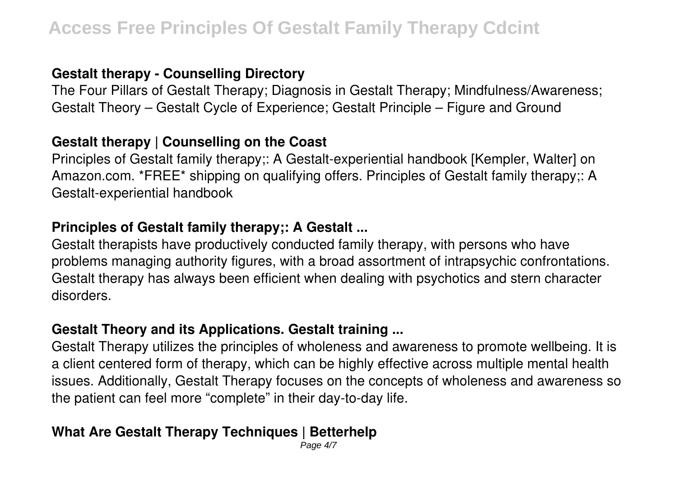## **Gestalt therapy - Counselling Directory**

The Four Pillars of Gestalt Therapy; Diagnosis in Gestalt Therapy; Mindfulness/Awareness; Gestalt Theory – Gestalt Cycle of Experience; Gestalt Principle – Figure and Ground

#### **Gestalt therapy | Counselling on the Coast**

Principles of Gestalt family therapy;: A Gestalt-experiential handbook [Kempler, Walter] on Amazon.com. \*FREE\* shipping on qualifying offers. Principles of Gestalt family therapy;: A Gestalt-experiential handbook

#### **Principles of Gestalt family therapy;: A Gestalt ...**

Gestalt therapists have productively conducted family therapy, with persons who have problems managing authority figures, with a broad assortment of intrapsychic confrontations. Gestalt therapy has always been efficient when dealing with psychotics and stern character disorders.

#### **Gestalt Theory and its Applications. Gestalt training ...**

Gestalt Therapy utilizes the principles of wholeness and awareness to promote wellbeing. It is a client centered form of therapy, which can be highly effective across multiple mental health issues. Additionally, Gestalt Therapy focuses on the concepts of wholeness and awareness so the patient can feel more "complete" in their day-to-day life.

## **What Are Gestalt Therapy Techniques | Betterhelp**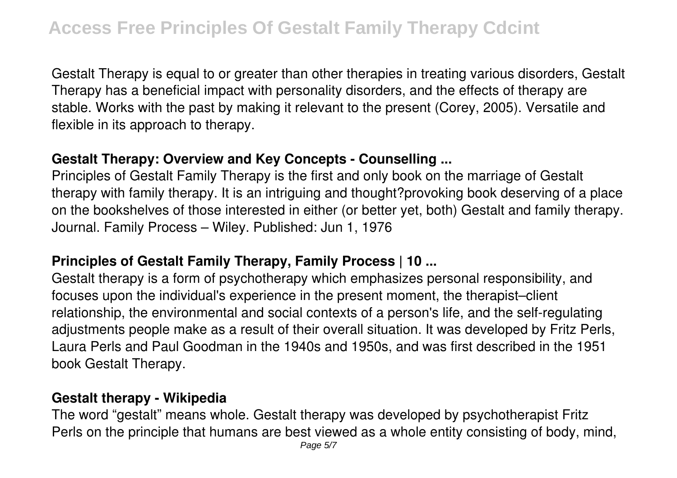Gestalt Therapy is equal to or greater than other therapies in treating various disorders, Gestalt Therapy has a beneficial impact with personality disorders, and the effects of therapy are stable. Works with the past by making it relevant to the present (Corey, 2005). Versatile and flexible in its approach to therapy.

## **Gestalt Therapy: Overview and Key Concepts - Counselling ...**

Principles of Gestalt Family Therapy is the first and only book on the marriage of Gestalt therapy with family therapy. It is an intriguing and thought?provoking book deserving of a place on the bookshelves of those interested in either (or better yet, both) Gestalt and family therapy. Journal. Family Process – Wiley. Published: Jun 1, 1976

## **Principles of Gestalt Family Therapy, Family Process | 10 ...**

Gestalt therapy is a form of psychotherapy which emphasizes personal responsibility, and focuses upon the individual's experience in the present moment, the therapist–client relationship, the environmental and social contexts of a person's life, and the self-regulating adjustments people make as a result of their overall situation. It was developed by Fritz Perls, Laura Perls and Paul Goodman in the 1940s and 1950s, and was first described in the 1951 book Gestalt Therapy.

## **Gestalt therapy - Wikipedia**

The word "gestalt" means whole. Gestalt therapy was developed by psychotherapist Fritz Perls on the principle that humans are best viewed as a whole entity consisting of body, mind,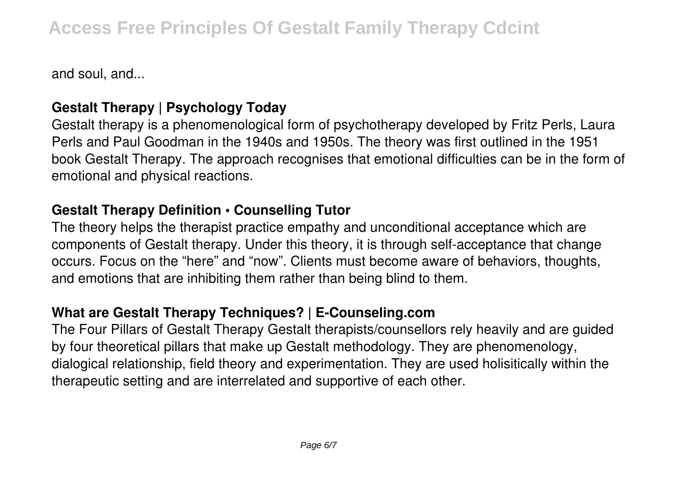and soul, and...

## **Gestalt Therapy | Psychology Today**

Gestalt therapy is a phenomenological form of psychotherapy developed by Fritz Perls, Laura Perls and Paul Goodman in the 1940s and 1950s. The theory was first outlined in the 1951 book Gestalt Therapy. The approach recognises that emotional difficulties can be in the form of emotional and physical reactions.

## **Gestalt Therapy Definition • Counselling Tutor**

The theory helps the therapist practice empathy and unconditional acceptance which are components of Gestalt therapy. Under this theory, it is through self-acceptance that change occurs. Focus on the "here" and "now". Clients must become aware of behaviors, thoughts, and emotions that are inhibiting them rather than being blind to them.

## **What are Gestalt Therapy Techniques? | E-Counseling.com**

The Four Pillars of Gestalt Therapy Gestalt therapists/counsellors rely heavily and are guided by four theoretical pillars that make up Gestalt methodology. They are phenomenology, dialogical relationship, field theory and experimentation. They are used holisitically within the therapeutic setting and are interrelated and supportive of each other.